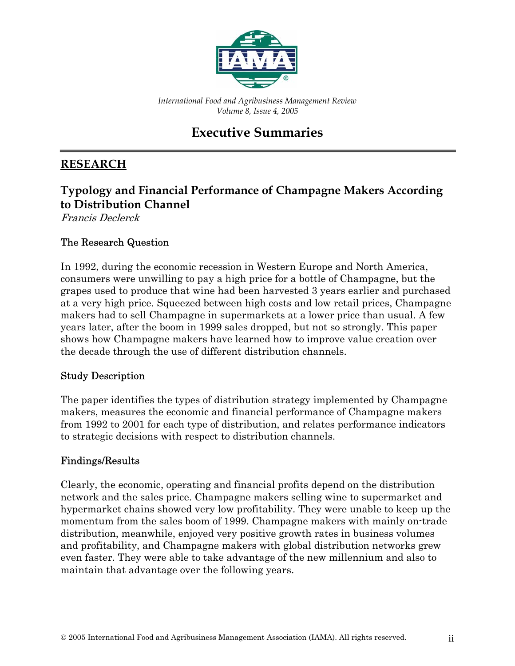

*International Food and Agribusiness Management Review Volume 8, Issue 4, 2005*

# **Executive Summaries**

### **RESEARCH**

### **Typology and Financial Performance of Champagne Makers According to Distribution Channel**

Francis Declerck

#### The Research Question

In 1992, during the economic recession in Western Europe and North America, consumers were unwilling to pay a high price for a bottle of Champagne, but the grapes used to produce that wine had been harvested 3 years earlier and purchased at a very high price. Squeezed between high costs and low retail prices, Champagne makers had to sell Champagne in supermarkets at a lower price than usual. A few years later, after the boom in 1999 sales dropped, but not so strongly. This paper shows how Champagne makers have learned how to improve value creation over the decade through the use of different distribution channels.

#### Study Description

The paper identifies the types of distribution strategy implemented by Champagne makers, measures the economic and financial performance of Champagne makers from 1992 to 2001 for each type of distribution, and relates performance indicators to strategic decisions with respect to distribution channels.

#### Findings/Results

Clearly, the economic, operating and financial profits depend on the distribution network and the sales price. Champagne makers selling wine to supermarket and hypermarket chains showed very low profitability. They were unable to keep up the momentum from the sales boom of 1999. Champagne makers with mainly on-trade distribution, meanwhile, enjoyed very positive growth rates in business volumes and profitability, and Champagne makers with global distribution networks grew even faster. They were able to take advantage of the new millennium and also to maintain that advantage over the following years.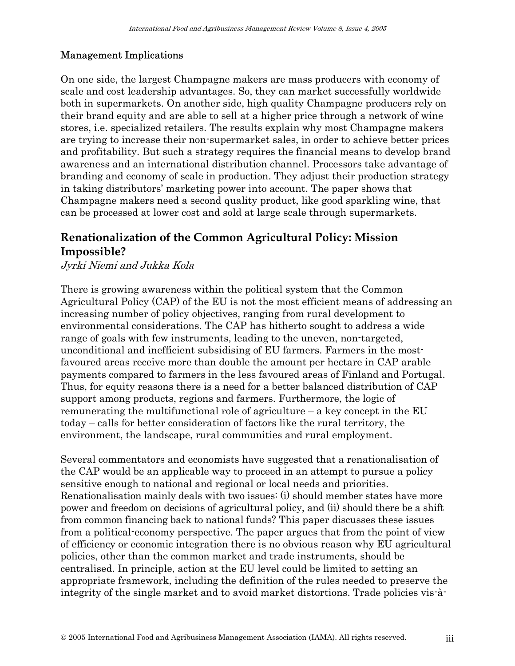#### Management Implications

On one side, the largest Champagne makers are mass producers with economy of scale and cost leadership advantages. So, they can market successfully worldwide both in supermarkets. On another side, high quality Champagne producers rely on their brand equity and are able to sell at a higher price through a network of wine stores, i.e. specialized retailers. The results explain why most Champagne makers are trying to increase their non-supermarket sales, in order to achieve better prices and profitability. But such a strategy requires the financial means to develop brand awareness and an international distribution channel. Processors take advantage of branding and economy of scale in production. They adjust their production strategy in taking distributors' marketing power into account. The paper shows that Champagne makers need a second quality product, like good sparkling wine, that can be processed at lower cost and sold at large scale through supermarkets.

# **Renationalization of the Common Agricultural Policy: Mission Impossible?**

Jyrki Niemi and Jukka Kola

There is growing awareness within the political system that the Common Agricultural Policy (CAP) of the EU is not the most efficient means of addressing an increasing number of policy objectives, ranging from rural development to environmental considerations. The CAP has hitherto sought to address a wide range of goals with few instruments, leading to the uneven, non-targeted, unconditional and inefficient subsidising of EU farmers. Farmers in the mostfavoured areas receive more than double the amount per hectare in CAP arable payments compared to farmers in the less favoured areas of Finland and Portugal. Thus, for equity reasons there is a need for a better balanced distribution of CAP support among products, regions and farmers. Furthermore, the logic of remunerating the multifunctional role of agriculture  $-$  a key concept in the EU today – calls for better consideration of factors like the rural territory, the environment, the landscape, rural communities and rural employment.

Several commentators and economists have suggested that a renationalisation of the CAP would be an applicable way to proceed in an attempt to pursue a policy sensitive enough to national and regional or local needs and priorities. Renationalisation mainly deals with two issues: (i) should member states have more power and freedom on decisions of agricultural policy, and (ii) should there be a shift from common financing back to national funds? This paper discusses these issues from a political-economy perspective. The paper argues that from the point of view of efficiency or economic integration there is no obvious reason why EU agricultural policies, other than the common market and trade instruments, should be centralised. In principle, action at the EU level could be limited to setting an appropriate framework, including the definition of the rules needed to preserve the integrity of the single market and to avoid market distortions. Trade policies vis-à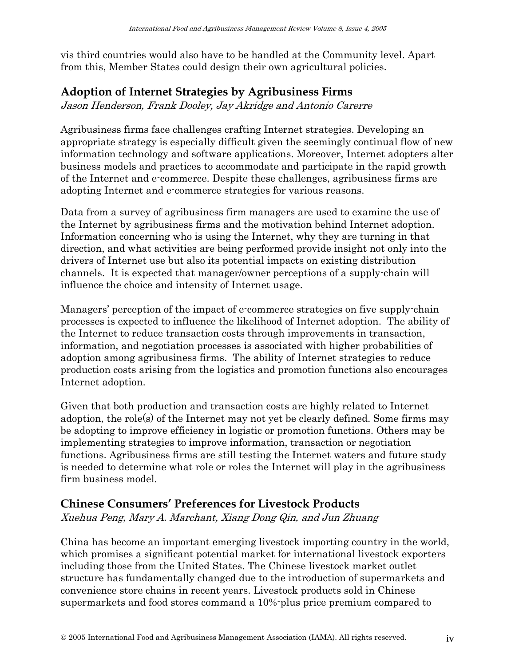vis third countries would also have to be handled at the Community level. Apart from this, Member States could design their own agricultural policies.

### **Adoption of Internet Strategies by Agribusiness Firms**

Jason Henderson, Frank Dooley, Jay Akridge and Antonio Carerre

Agribusiness firms face challenges crafting Internet strategies. Developing an appropriate strategy is especially difficult given the seemingly continual flow of new information technology and software applications. Moreover, Internet adopters alter business models and practices to accommodate and participate in the rapid growth of the Internet and e-commerce. Despite these challenges, agribusiness firms are adopting Internet and e-commerce strategies for various reasons.

Data from a survey of agribusiness firm managers are used to examine the use of the Internet by agribusiness firms and the motivation behind Internet adoption. Information concerning who is using the Internet, why they are turning in that direction, and what activities are being performed provide insight not only into the drivers of Internet use but also its potential impacts on existing distribution channels. It is expected that manager/owner perceptions of a supply-chain will influence the choice and intensity of Internet usage.

Managers' perception of the impact of e-commerce strategies on five supply-chain processes is expected to influence the likelihood of Internet adoption. The ability of the Internet to reduce transaction costs through improvements in transaction, information, and negotiation processes is associated with higher probabilities of adoption among agribusiness firms. The ability of Internet strategies to reduce production costs arising from the logistics and promotion functions also encourages Internet adoption.

Given that both production and transaction costs are highly related to Internet adoption, the role(s) of the Internet may not yet be clearly defined. Some firms may be adopting to improve efficiency in logistic or promotion functions. Others may be implementing strategies to improve information, transaction or negotiation functions. Agribusiness firms are still testing the Internet waters and future study is needed to determine what role or roles the Internet will play in the agribusiness firm business model.

### **Chinese Consumers' Preferences for Livestock Products**

Xuehua Peng, Mary A. Marchant, Xiang Dong Qin, and Jun Zhuang

China has become an important emerging livestock importing country in the world, which promises a significant potential market for international livestock exporters including those from the United States. The Chinese livestock market outlet structure has fundamentally changed due to the introduction of supermarkets and convenience store chains in recent years. Livestock products sold in Chinese supermarkets and food stores command a 10%-plus price premium compared to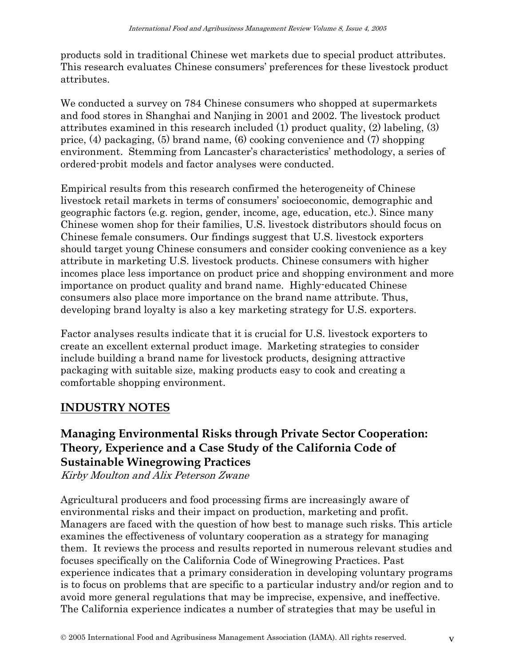products sold in traditional Chinese wet markets due to special product attributes. This research evaluates Chinese consumers' preferences for these livestock product attributes.

We conducted a survey on 784 Chinese consumers who shopped at supermarkets and food stores in Shanghai and Nanjing in 2001 and 2002. The livestock product attributes examined in this research included (1) product quality, (2) labeling, (3) price, (4) packaging, (5) brand name, (6) cooking convenience and (7) shopping environment. Stemming from Lancaster's characteristics' methodology, a series of ordered-probit models and factor analyses were conducted.

Empirical results from this research confirmed the heterogeneity of Chinese livestock retail markets in terms of consumers' socioeconomic, demographic and geographic factors (e.g. region, gender, income, age, education, etc.). Since many Chinese women shop for their families, U.S. livestock distributors should focus on Chinese female consumers. Our findings suggest that U.S. livestock exporters should target young Chinese consumers and consider cooking convenience as a key attribute in marketing U.S. livestock products. Chinese consumers with higher incomes place less importance on product price and shopping environment and more importance on product quality and brand name. Highly-educated Chinese consumers also place more importance on the brand name attribute. Thus, developing brand loyalty is also a key marketing strategy for U.S. exporters.

Factor analyses results indicate that it is crucial for U.S. livestock exporters to create an excellent external product image. Marketing strategies to consider include building a brand name for livestock products, designing attractive packaging with suitable size, making products easy to cook and creating a comfortable shopping environment.

### **INDUSTRY NOTES**

## **Managing Environmental Risks through Private Sector Cooperation: Theory, Experience and a Case Study of the California Code of Sustainable Winegrowing Practices**

Kirby Moulton and Alix Peterson Zwane

Agricultural producers and food processing firms are increasingly aware of environmental risks and their impact on production, marketing and profit. Managers are faced with the question of how best to manage such risks. This article examines the effectiveness of voluntary cooperation as a strategy for managing them. It reviews the process and results reported in numerous relevant studies and focuses specifically on the California Code of Winegrowing Practices. Past experience indicates that a primary consideration in developing voluntary programs is to focus on problems that are specific to a particular industry and/or region and to avoid more general regulations that may be imprecise, expensive, and ineffective. The California experience indicates a number of strategies that may be useful in